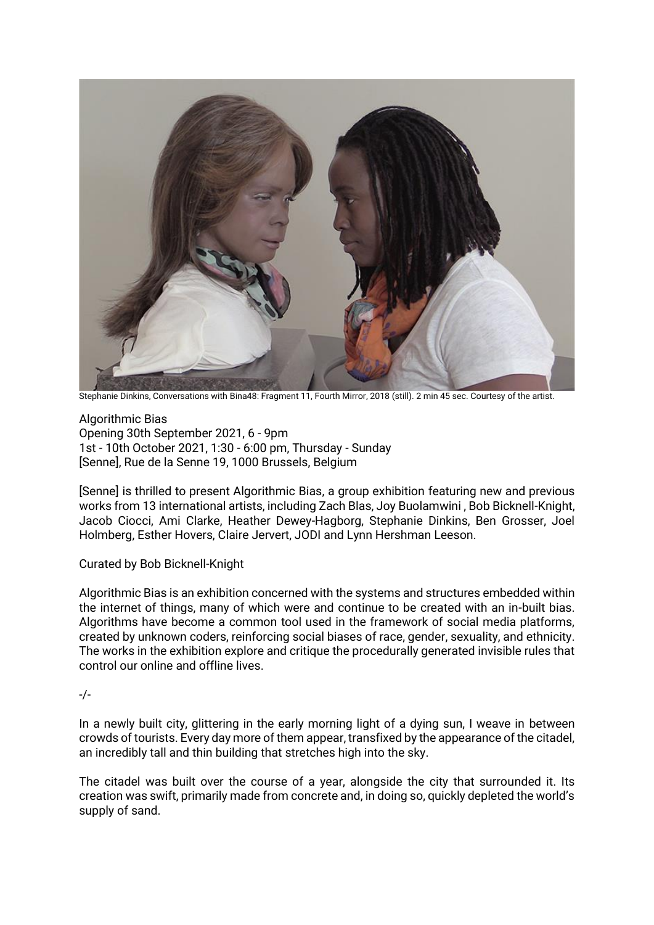

Stephanie Dinkins, Conversations with Bina48: Fragment 11, Fourth Mirror, 2018 (still). 2 min 45 sec. Courtesy of the artist.

Algorithmic Bias Opening 30th September 2021, 6 - 9pm 1st - 10th October 2021, 1:30 - 6:00 pm, Thursday - Sunday [Senne], Rue de la Senne 19, 1000 Brussels, Belgium

[Senne] is thrilled to present Algorithmic Bias, a group exhibition featuring new and previous works from 13 international artists, including Zach Blas, Joy Buolamwini , Bob Bicknell-Knight, Jacob Ciocci, Ami Clarke, Heather Dewey-Hagborg, Stephanie Dinkins, Ben Grosser, Joel Holmberg, Esther Hovers, Claire Jervert, JODI and Lynn Hershman Leeson.

## Curated by Bob Bicknell-Knight

Algorithmic Bias is an exhibition concerned with the systems and structures embedded within the internet of things, many of which were and continue to be created with an in-built bias. Algorithms have become a common tool used in the framework of social media platforms, created by unknown coders, reinforcing social biases of race, gender, sexuality, and ethnicity. The works in the exhibition explore and critique the procedurally generated invisible rules that control our online and offline lives.

-/-

In a newly built city, glittering in the early morning light of a dying sun, I weave in between crowds of tourists. Every day more of them appear, transfixed by the appearance of the citadel, an incredibly tall and thin building that stretches high into the sky.

The citadel was built over the course of a year, alongside the city that surrounded it. Its creation was swift, primarily made from concrete and, in doing so, quickly depleted the world's supply of sand.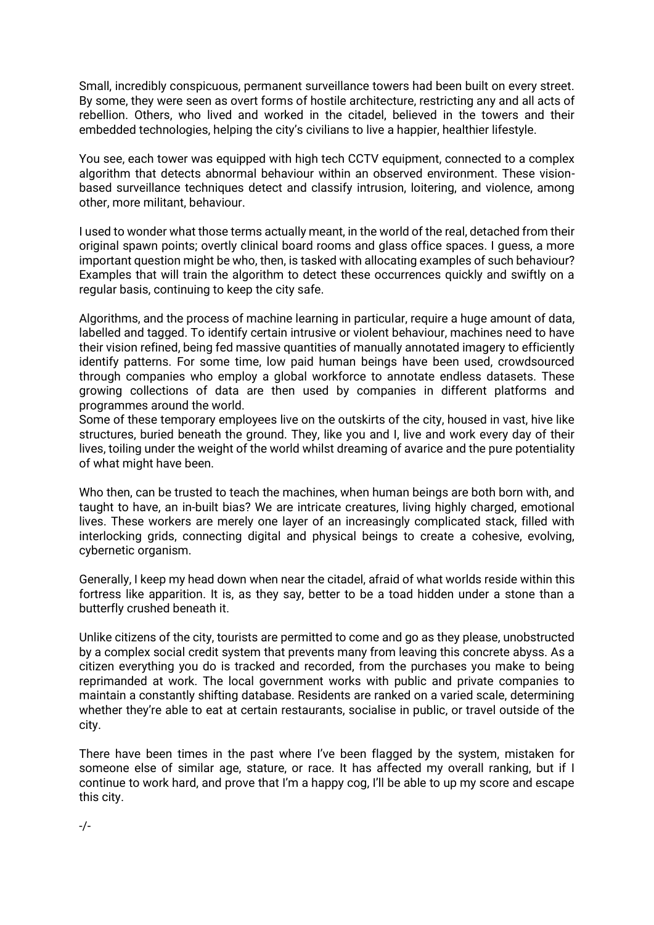Small, incredibly conspicuous, permanent surveillance towers had been built on every street. By some, they were seen as overt forms of hostile architecture, restricting any and all acts of rebellion. Others, who lived and worked in the citadel, believed in the towers and their embedded technologies, helping the city's civilians to live a happier, healthier lifestyle.

You see, each tower was equipped with high tech CCTV equipment, connected to a complex algorithm that detects abnormal behaviour within an observed environment. These visionbased surveillance techniques detect and classify intrusion, loitering, and violence, among other, more militant, behaviour.

I used to wonder what those terms actually meant, in the world of the real, detached from their original spawn points; overtly clinical board rooms and glass office spaces. I guess, a more important question might be who, then, is tasked with allocating examples of such behaviour? Examples that will train the algorithm to detect these occurrences quickly and swiftly on a regular basis, continuing to keep the city safe.

Algorithms, and the process of machine learning in particular, require a huge amount of data, labelled and tagged. To identify certain intrusive or violent behaviour, machines need to have their vision refined, being fed massive quantities of manually annotated imagery to efficiently identify patterns. For some time, low paid human beings have been used, crowdsourced through companies who employ a global workforce to annotate endless datasets. These growing collections of data are then used by companies in different platforms and programmes around the world.

Some of these temporary employees live on the outskirts of the city, housed in vast, hive like structures, buried beneath the ground. They, like you and I, live and work every day of their lives, toiling under the weight of the world whilst dreaming of avarice and the pure potentiality of what might have been.

Who then, can be trusted to teach the machines, when human beings are both born with, and taught to have, an in-built bias? We are intricate creatures, living highly charged, emotional lives. These workers are merely one layer of an increasingly complicated stack, filled with interlocking grids, connecting digital and physical beings to create a cohesive, evolving, cybernetic organism.

Generally, I keep my head down when near the citadel, afraid of what worlds reside within this fortress like apparition. It is, as they say, better to be a toad hidden under a stone than a butterfly crushed beneath it.

Unlike citizens of the city, tourists are permitted to come and go as they please, unobstructed by a complex social credit system that prevents many from leaving this concrete abyss. As a citizen everything you do is tracked and recorded, from the purchases you make to being reprimanded at work. The local government works with public and private companies to maintain a constantly shifting database. Residents are ranked on a varied scale, determining whether they're able to eat at certain restaurants, socialise in public, or travel outside of the city.

There have been times in the past where I've been flagged by the system, mistaken for someone else of similar age, stature, or race. It has affected my overall ranking, but if I continue to work hard, and prove that I'm a happy cog, I'll be able to up my score and escape this city.

-/-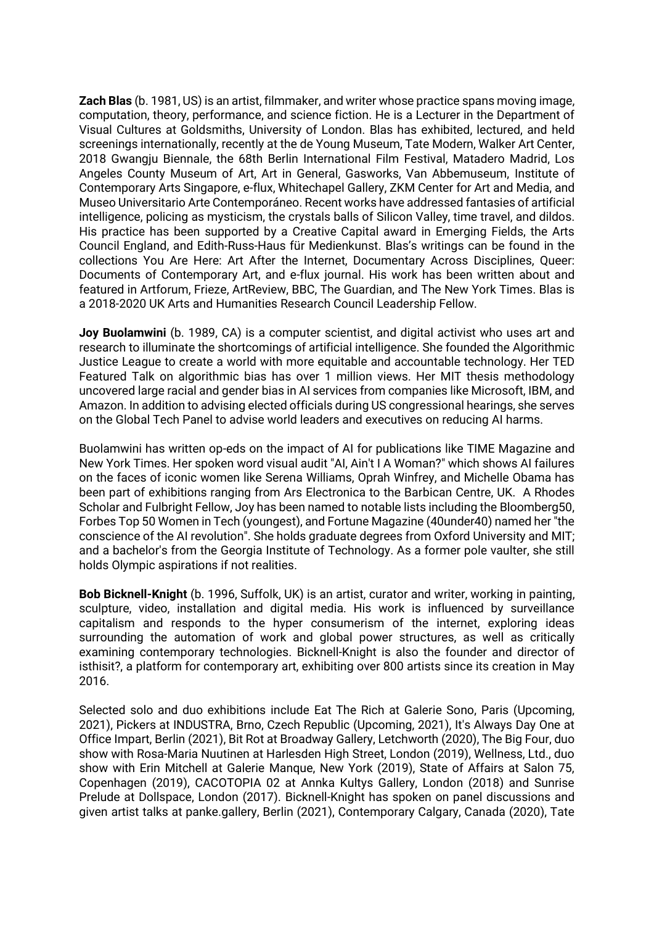**Zach Blas** (b. 1981, US) is an artist, filmmaker, and writer whose practice spans moving image, computation, theory, performance, and science fiction. He is a Lecturer in the Department of Visual Cultures at Goldsmiths, University of London. Blas has exhibited, lectured, and held screenings internationally, recently at the de Young Museum, Tate Modern, Walker Art Center, 2018 Gwangju Biennale, the 68th Berlin International Film Festival, Matadero Madrid, Los Angeles County Museum of Art, Art in General, Gasworks, Van Abbemuseum, Institute of Contemporary Arts Singapore, e-flux, Whitechapel Gallery, ZKM Center for Art and Media, and Museo Universitario Arte Contemporáneo. Recent works have addressed fantasies of artificial intelligence, policing as mysticism, the crystals balls of Silicon Valley, time travel, and dildos. His practice has been supported by a Creative Capital award in Emerging Fields, the Arts Council England, and Edith-Russ-Haus für Medienkunst. Blas's writings can be found in the collections You Are Here: Art After the Internet, Documentary Across Disciplines, Queer: Documents of Contemporary Art, and e-flux journal. His work has been written about and featured in Artforum, Frieze, ArtReview, BBC, The Guardian, and The New York Times. Blas is a 2018-2020 UK Arts and Humanities Research Council Leadership Fellow.

**Joy Buolamwini** (b. 1989, CA) is a computer scientist, and digital activist who uses art and research to illuminate the shortcomings of artificial intelligence. She founded the Algorithmic Justice League to create a world with more equitable and accountable technology. Her TED Featured Talk on algorithmic bias has over 1 million views. Her MIT thesis methodology uncovered large racial and gender bias in AI services from companies like Microsoft, IBM, and Amazon. In addition to advising elected officials during US congressional hearings, she serves on the Global Tech Panel to advise world leaders and executives on reducing AI harms.

Buolamwini has written op-eds on the impact of AI for publications like TIME Magazine and New York Times. Her spoken word visual audit "AI, Ain't I A Woman?" which shows AI failures on the faces of iconic women like Serena Williams, Oprah Winfrey, and Michelle Obama has been part of exhibitions ranging from Ars Electronica to the Barbican Centre, UK. A Rhodes Scholar and Fulbright Fellow, Joy has been named to notable lists including the Bloomberg50, Forbes Top 50 Women in Tech (youngest), and Fortune Magazine (40under40) named her "the conscience of the AI revolution". She holds graduate degrees from Oxford University and MIT; and a bachelor's from the Georgia Institute of Technology. As a former pole vaulter, she still holds Olympic aspirations if not realities.

**Bob Bicknell-Knight** (b. 1996, Suffolk, UK) is an artist, curator and writer, working in painting, sculpture, video, installation and digital media. His work is influenced by surveillance capitalism and responds to the hyper consumerism of the internet, exploring ideas surrounding the automation of work and global power structures, as well as critically examining contemporary technologies. Bicknell-Knight is also the founder and director of isthisit?, a platform for contemporary art, exhibiting over 800 artists since its creation in May 2016.

Selected solo and duo exhibitions include Eat The Rich at Galerie Sono, Paris (Upcoming, 2021), Pickers at INDUSTRA, Brno, Czech Republic (Upcoming, 2021), It's Always Day One at Office Impart, Berlin (2021), Bit Rot at Broadway Gallery, Letchworth (2020), The Big Four, duo show with Rosa-Maria Nuutinen at Harlesden High Street, London (2019), Wellness, Ltd., duo show with Erin Mitchell at Galerie Manque, New York (2019), State of Affairs at Salon 75, Copenhagen (2019), CACOTOPIA 02 at Annka Kultys Gallery, London (2018) and Sunrise Prelude at Dollspace, London (2017). Bicknell-Knight has spoken on panel discussions and given artist talks at panke.gallery, Berlin (2021), Contemporary Calgary, Canada (2020), Tate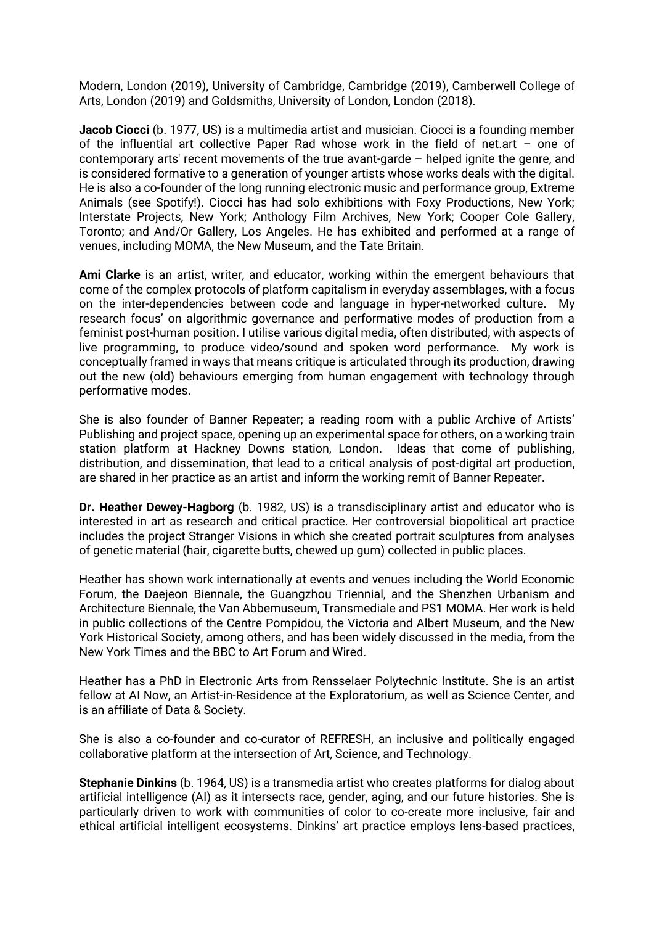Modern, London (2019), University of Cambridge, Cambridge (2019), Camberwell College of Arts, London (2019) and Goldsmiths, University of London, London (2018).

**Jacob Ciocci** (b. 1977, US) is a multimedia artist and musician. Ciocci is a founding member of the influential art collective Paper Rad whose work in the field of net.art – one of contemporary arts' recent movements of the true avant-garde – helped ignite the genre, and is considered formative to a generation of younger artists whose works deals with the digital. He is also a co-founder of the long running electronic music and performance group, Extreme Animals (see Spotify!). Ciocci has had solo exhibitions with Foxy Productions, New York; Interstate Projects, New York; Anthology Film Archives, New York; Cooper Cole Gallery, Toronto; and And/Or Gallery, Los Angeles. He has exhibited and performed at a range of venues, including MOMA, the New Museum, and the Tate Britain.

**Ami Clarke** is an artist, writer, and educator, working within the emergent behaviours that come of the complex protocols of platform capitalism in everyday assemblages, with a focus on the inter-dependencies between code and language in hyper-networked culture. My research focus' on algorithmic governance and performative modes of production from a feminist post-human position. I utilise various digital media, often distributed, with aspects of live programming, to produce video/sound and spoken word performance. My work is conceptually framed in ways that means critique is articulated through its production, drawing out the new (old) behaviours emerging from human engagement with technology through performative modes.

She is also founder of Banner Repeater; a reading room with a public Archive of Artists' Publishing and project space, opening up an experimental space for others, on a working train station platform at Hackney Downs station, London. Ideas that come of publishing, distribution, and dissemination, that lead to a critical analysis of post-digital art production, are shared in her practice as an artist and inform the working remit of Banner Repeater.

**Dr. Heather Dewey-Hagborg** (b. 1982, US) is a transdisciplinary artist and educator who is interested in art as research and critical practice. Her controversial biopolitical art practice includes the project Stranger Visions in which she created portrait sculptures from analyses of genetic material (hair, cigarette butts, chewed up gum) collected in public places.

Heather has shown work internationally at events and venues including the World Economic Forum, the Daejeon Biennale, the Guangzhou Triennial, and the Shenzhen Urbanism and Architecture Biennale, the Van Abbemuseum, Transmediale and PS1 MOMA. Her work is held in public collections of the Centre Pompidou, the Victoria and Albert Museum, and the New York Historical Society, among others, and has been widely discussed in the media, from the New York Times and the BBC to Art Forum and Wired.

Heather has a PhD in Electronic Arts from Rensselaer Polytechnic Institute. She is an artist fellow at AI Now, an Artist-in-Residence at the Exploratorium, as well as Science Center, and is an affiliate of Data & Society.

She is also a co-founder and co-curator of REFRESH, an inclusive and politically engaged collaborative platform at the intersection of Art, Science, and Technology.

**Stephanie Dinkins** (b. 1964, US) is a transmedia artist who creates platforms for dialog about artificial intelligence (AI) as it intersects race, gender, aging, and our future histories. She is particularly driven to work with communities of color to co-create more inclusive, fair and ethical artificial intelligent ecosystems. Dinkins' art practice employs lens-based practices,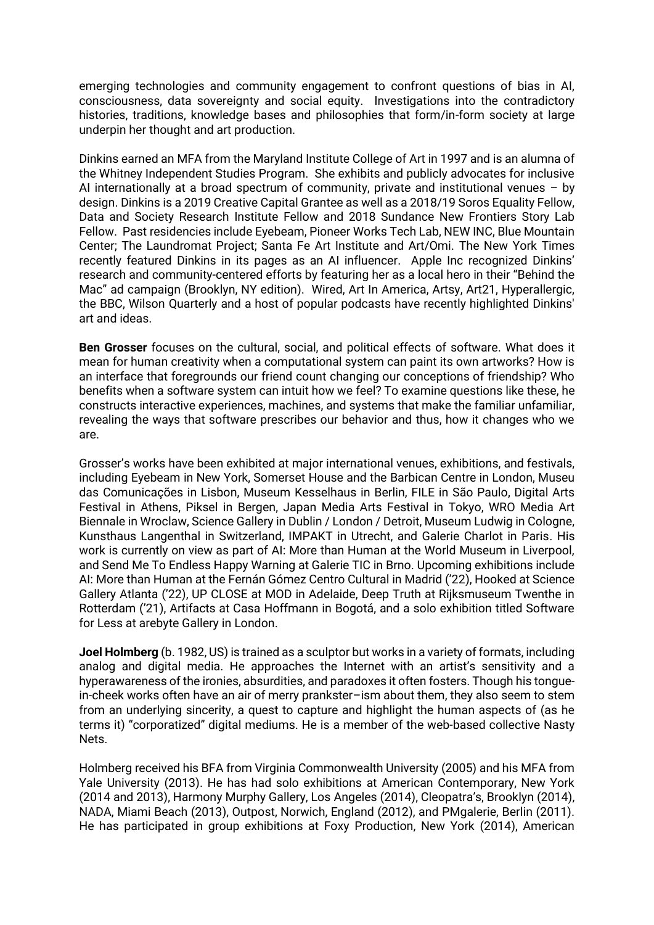emerging technologies and community engagement to confront questions of bias in AI, consciousness, data sovereignty and social equity. Investigations into the contradictory histories, traditions, knowledge bases and philosophies that form/in-form society at large underpin her thought and art production.

Dinkins earned an MFA from the Maryland Institute College of Art in 1997 and is an alumna of the Whitney Independent Studies Program. She exhibits and publicly advocates for inclusive AI internationally at a broad spectrum of community, private and institutional venues  $-$  by design. Dinkins is a 2019 Creative Capital Grantee as well as a 2018/19 Soros Equality Fellow, Data and Society Research Institute Fellow and 2018 Sundance New Frontiers Story Lab Fellow. Past residencies include Eyebeam, Pioneer Works Tech Lab, NEW INC, Blue Mountain Center; The Laundromat Project; Santa Fe Art Institute and Art/Omi. The New York Times recently featured Dinkins in its pages as an AI influencer. Apple Inc recognized Dinkins' research and community-centered efforts by featuring her as a local hero in their "Behind the Mac" ad campaign (Brooklyn, NY edition). Wired, Art In America, Artsy, Art21, Hyperallergic, the BBC, Wilson Quarterly and a host of popular podcasts have recently highlighted Dinkins' art and ideas.

**Ben Grosser** focuses on the cultural, social, and political effects of software. What does it mean for human creativity when a computational system can paint its own artworks? How is an interface that foregrounds our friend count changing our conceptions of friendship? Who benefits when a software system can intuit how we feel? To examine questions like these, he constructs interactive experiences, machines, and systems that make the familiar unfamiliar, revealing the ways that software prescribes our behavior and thus, how it changes who we are.

Grosser's works have been exhibited at major international venues, exhibitions, and festivals, including Eyebeam in New York, Somerset House and the Barbican Centre in London, Museu das Comunicações in Lisbon, Museum Kesselhaus in Berlin, FILE in São Paulo, Digital Arts Festival in Athens, Piksel in Bergen, Japan Media Arts Festival in Tokyo, WRO Media Art Biennale in Wroclaw, Science Gallery in Dublin / London / Detroit, Museum Ludwig in Cologne, Kunsthaus Langenthal in Switzerland, IMPAKT in Utrecht, and Galerie Charlot in Paris. His work is currently on view as part of AI: More than Human at the World Museum in Liverpool, and Send Me To Endless Happy Warning at Galerie TIC in Brno. Upcoming exhibitions include AI: More than Human at the Fernán Gómez Centro Cultural in Madrid ('22), Hooked at Science Gallery Atlanta ('22), UP CLOSE at MOD in Adelaide, Deep Truth at Rijksmuseum Twenthe in Rotterdam ('21), Artifacts at Casa Hoffmann in Bogotá, and a solo exhibition titled Software for Less at arebyte Gallery in London.

**Joel Holmberg** (b. 1982, US) is trained as a sculptor but works in a variety of formats, including analog and digital media. He approaches the Internet with an artist's sensitivity and a hyperawareness of the ironies, absurdities, and paradoxes it often fosters. Though his tonguein-cheek works often have an air of merry prankster–ism about them, they also seem to stem from an underlying sincerity, a quest to capture and highlight the human aspects of (as he terms it) "corporatized" digital mediums. He is a member of the web-based collective Nasty Nets.

Holmberg received his BFA from Virginia Commonwealth University (2005) and his MFA from Yale University (2013). He has had solo exhibitions at American Contemporary, New York (2014 and 2013), Harmony Murphy Gallery, Los Angeles (2014), Cleopatra's, Brooklyn (2014), NADA, Miami Beach (2013), Outpost, Norwich, England (2012), and PMgalerie, Berlin (2011). He has participated in group exhibitions at Foxy Production, New York (2014), American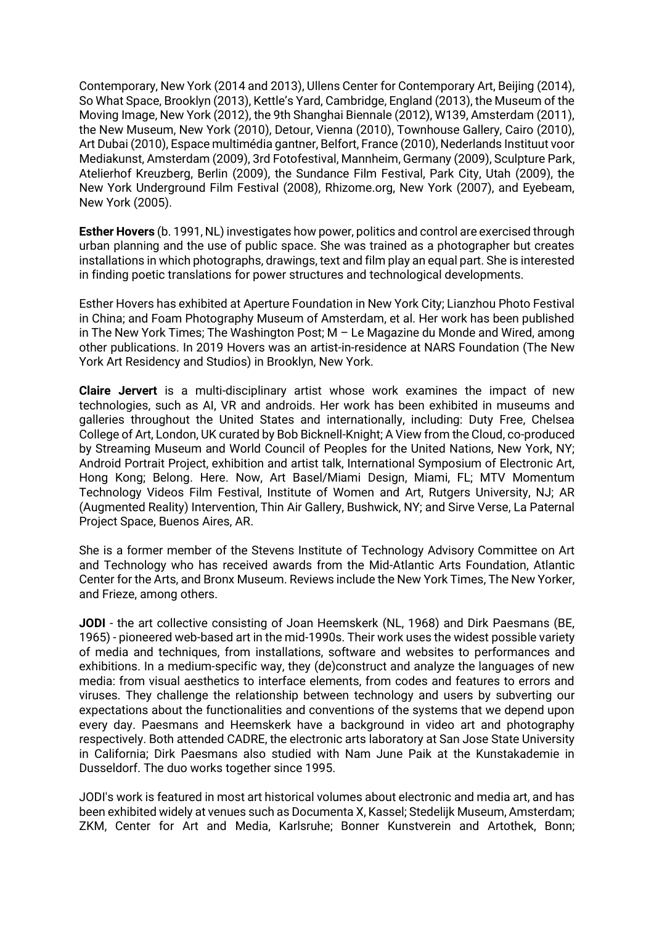Contemporary, New York (2014 and 2013), Ullens Center for Contemporary Art, Beijing (2014), So What Space, Brooklyn (2013), Kettle's Yard, Cambridge, England (2013), the Museum of the Moving Image, New York (2012), the 9th Shanghai Biennale (2012), W139, Amsterdam (2011), the New Museum, New York (2010), Detour, Vienna (2010), Townhouse Gallery, Cairo (2010), Art Dubai (2010), Espace multimédia gantner, Belfort, France (2010), Nederlands Instituut voor Mediakunst, Amsterdam (2009), 3rd Fotofestival, Mannheim, Germany (2009), Sculpture Park, Atelierhof Kreuzberg, Berlin (2009), the Sundance Film Festival, Park City, Utah (2009), the New York Underground Film Festival (2008), Rhizome.org, New York (2007), and Eyebeam, New York (2005).

**Esther Hovers** (b. 1991, NL) investigates how power, politics and control are exercised through urban planning and the use of public space. She was trained as a photographer but creates installations in which photographs, drawings, text and film play an equal part. She is interested in finding poetic translations for power structures and technological developments.

Esther Hovers has exhibited at Aperture Foundation in New York City; Lianzhou Photo Festival in China; and Foam Photography Museum of Amsterdam, et al. Her work has been published in The New York Times; The Washington Post; M – Le Magazine du Monde and Wired, among other publications. In 2019 Hovers was an artist-in-residence at NARS Foundation (The New York Art Residency and Studios) in Brooklyn, New York.

**Claire Jervert** is a multi-disciplinary artist whose work examines the impact of new technologies, such as AI, VR and androids. Her work has been exhibited in museums and galleries throughout the United States and internationally, including: Duty Free, Chelsea College of Art, London, UK curated by Bob Bicknell-Knight; A View from the Cloud, co-produced by Streaming Museum and World Council of Peoples for the United Nations, New York, NY; Android Portrait Project, exhibition and artist talk, International Symposium of Electronic Art, Hong Kong; Belong. Here. Now, Art Basel/Miami Design, Miami, FL; MTV Momentum Technology Videos Film Festival, Institute of Women and Art, Rutgers University, NJ; AR (Augmented Reality) Intervention, Thin Air Gallery, Bushwick, NY; and Sirve Verse, La Paternal Project Space, Buenos Aires, AR.

She is a former member of the Stevens Institute of Technology Advisory Committee on Art and Technology who has received awards from the Mid-Atlantic Arts Foundation, Atlantic Center for the Arts, and Bronx Museum. Reviews include the New York Times, The New Yorker, and Frieze, among others.

**JODI** - the art collective consisting of Joan Heemskerk (NL, 1968) and Dirk Paesmans (BE, 1965) - pioneered web-based art in the mid-1990s. Their work uses the widest possible variety of media and techniques, from installations, software and websites to performances and exhibitions. In a medium-specific way, they (de)construct and analyze the languages of new media: from visual aesthetics to interface elements, from codes and features to errors and viruses. They challenge the relationship between technology and users by subverting our expectations about the functionalities and conventions of the systems that we depend upon every day. Paesmans and Heemskerk have a background in video art and photography respectively. Both attended CADRE, the electronic arts laboratory at San Jose State University in California; Dirk Paesmans also studied with Nam June Paik at the Kunstakademie in Dusseldorf. The duo works together since 1995.

JODI's work is featured in most art historical volumes about electronic and media art, and has been exhibited widely at venues such as Documenta X, Kassel; Stedelijk Museum, Amsterdam; ZKM, Center for Art and Media, Karlsruhe; Bonner Kunstverein and Artothek, Bonn;